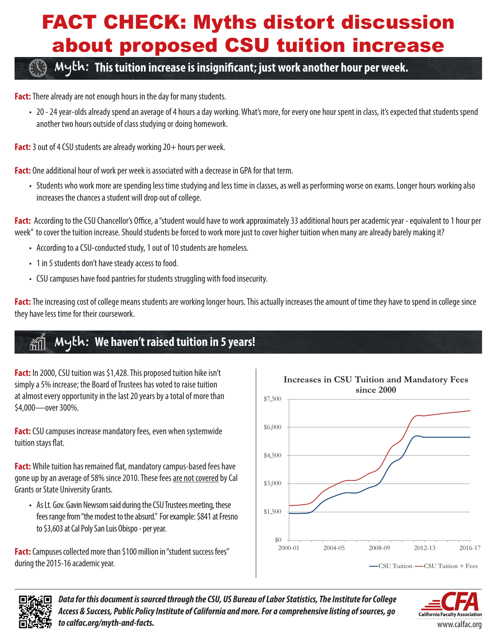# FACT CHECK: Myths distort discussion about proposed CSU tuition increase

## Myth: **This tuition increase is insignificant; just work another hour per week.**

**Fact:** There already are not enough hours in the day for many students.

• 20 - 24 year-olds already spend an average of 4 hours a day working. What's more, for every one hour spent in class, it's expected that students spend another two hours outside of class studying or doing homework.

Fact: 3 out of 4 CSU students are already working 20+ hours per week.

**Fact:** One additional hour of work per week is associated with a decrease in GPA for that term.

• Students who work more are spending less time studying and less time in classes, as well as performing worse on exams. Longer hours working also increases the chances a student will drop out of college.

**Fact:** According to the CSU Chancellor's Office, a "student would have to work approximately 33 additional hours per academic year - equivalent to 1 hour per week" to cover the tuition increase. Should students be forced to work more just to cover higher tuition when many are already barely making it?

- According to a CSU-conducted study, 1 out of 10 students are homeless.
- 1 in 5 students don't have steady access to food.
- CSU campuses have food pantries for students struggling with food insecurity.

**Fact:** The increasing cost of college means students are working longer hours. This actually increases the amount of time they have to spend in college since they have less time for their coursework.

#### Myth: **We haven't raised tuition in 5 years!**

**Fact:** In 2000, CSU tuition was \$1,428. This proposed tuition hike isn't simply a 5% increase; the Board of Trustees has voted to raise tuition at almost every opportunity in the last 20 years by a total of more than \$4,000—over 300%.

**Fact:** CSU campuses increase mandatory fees, even when systemwide tuition stays flat.

**Fact:** While tuition has remained flat, mandatory campus-based fees have gone up by an average of 58% since 2010. These fees are not covered by Cal Grants or State University Grants.

• As Lt. Gov. Gavin Newsom said during the CSU Trustees meeting, these fees range from "the modest to the absurd." For example: \$841 at Fresno to \$3,603 at Cal Poly San Luis Obispo - per year.

**Fact:** Campuses collected more than \$100 million in "student success fees" during the 2015-16 academic year.





*Data for this document is sourced through the CSU, US Bureau of Labor Statistics, The Institute for College Access & Success, Public Policy Institute of California and more. For a comprehensive listing of sources, go to calfac.org/myth-and-facts.*